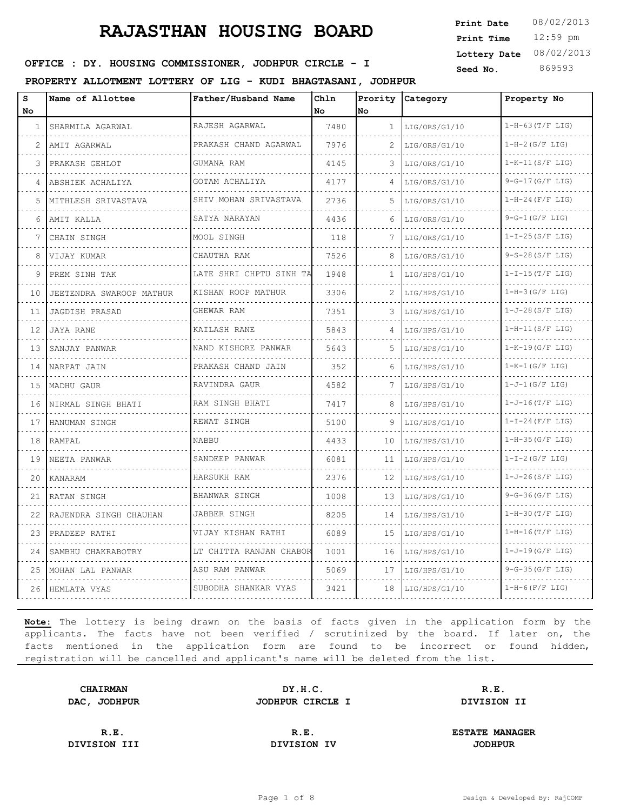12:59 pm **Print Time Print Date**  $08/02/2013$ **Lottery Date** 08/02/2013

### **SEED IDER : DY. HOUSING COMMISSIONER, JODHPUR CIRCLE - I** Seed No. 369593

**PROPERTY ALLOTMENT LOTTERY OF LIG - KUDI BHAGTASANI, JODHPUR**

| S<br>No | Name of Allottee         | Father/Husband Name     | Chln<br>No | No           | Prority Category | Property No        |
|---------|--------------------------|-------------------------|------------|--------------|------------------|--------------------|
| 1       | SHARMILA AGARWAL         | RAJESH AGARWAL          | 7480       | $\mathbf{1}$ | LIG/ORS/G1/10    | $1-H-63(T/F LIG)$  |
| 2       | AMIT AGARWAL             | PRAKASH CHAND AGARWAL   | 7976       | 2            | LIG/ORS/G1/10    | $1-H-2(G/F LIG)$   |
| 3       | PRAKASH GEHLOT           | GUMANA RAM              | 4145       | 3            | LIG/ORS/G1/10    | $1-K-11(S/F LIG)$  |
| 4       | ABSHIEK ACHALIYA         | GOTAM ACHALIYA          | 4177       | 4            | LIG/ORS/G1/10    | $9-G-17(G/F LIG)$  |
| 5       | MITHLESH SRIVASTAVA      | SHIV MOHAN SRIVASTAVA   | 2736       | 5            | LIG/ORS/G1/10    | $1-H-24$ (F/F LIG) |
| 6       | AMIT KALLA               | SATYA NARAYAN           | 4436       | 6            | LIG/ORS/G1/10    | $9-G-1(G/F LIG)$   |
| 7       | CHAIN SINGH              | MOOL SINGH              | 118        | 7            | LIG/ORS/G1/10    | $1-I-25(S/F LIG)$  |
| 8       | VIJAY KUMAR              | CHAUTHA RAM             | 7526       | 8            | LIG/ORS/G1/10    | $9-S-28(S/F LIG)$  |
| 9       | PREM SINH TAK            | LATE SHRI CHPTU SINH TA | 1948       | $\mathbf{1}$ | LIG/HPS/G1/10    | $1-I-15(T/F LIG)$  |
| 10      | JEETENDRA SWAROOP MATHUR | KISHAN ROOP MATHUR      | 3306       |              | LIG/HPS/G1/10    | $1-H-3(G/F LIG)$   |
| 11      | JAGDISH PRASAD           | GHEWAR RAM              | 7351       | 3            | LIG/HPS/G1/10    | $1-J-28(S/F LIG)$  |
| 12      | <b>JAYA RANE</b>         | KAILASH RANE            | 5843       | 4            | LIG/HPS/G1/10    | $1-H-11(S/F LIG)$  |
| 13      | SANJAY PANWAR            | NAND KISHORE PANWAR     | 5643       | 5            | LIG/HPS/G1/10    | $1-K-19(G/F LIG)$  |
| 14      | NARPAT JAIN              | PRAKASH CHAND JAIN      | 352        | 6            | LIG/HPS/G1/10    | $1-K-1$ (G/F LIG)  |
| 15      | MADHU GAUR               | RAVINDRA GAUR           | 4582       | 7            | LIG/HPS/G1/10    | $1-J-1$ (G/F LIG)  |
| 16      | NIRMAL SINGH BHATI       | RAM SINGH BHATI         | 7417       | 8            | LIG/HPS/G1/10    | $1-J-16(T/F LIG)$  |
| 17      | HANUMAN SINGH            | REWAT SINGH             | 5100       | 9            | LIG/HPS/G1/10    | $1-I-24$ (F/F LIG) |
| 18      | RAMPAL                   | <b>NABBU</b>            | 4433       | 10           | LIG/HPS/G1/10    | $1-H-35(G/F LIG)$  |
| 19      | NEETA PANWAR             | SANDEEP PANWAR          | 6081       | 11           | LIG/HPS/G1/10    | $1-I-2(G/F LIG)$   |
| 20      | KANARAM                  | HARSUKH RAM             | 2376       | 12           | LIG/HPS/G1/10    | $1-J-26(S/F LIG)$  |
| 21      | RATAN SINGH              | <b>BHANWAR SINGH</b>    | 1008       | 13           | LIG/HPS/G1/10    | $9-G-36(G/F LIG)$  |
| 22      | RAJENDRA SINGH CHAUHAN   | JABBER SINGH            | 8205       | 14           | LIG/HPS/G1/10    | $1-H-30(T/F LIG)$  |
| 23      | PRADEEP RATHI            | VIJAY KISHAN RATHI      | 6089       | 15           | LIG/HPS/G1/10    | $1-H-16(T/F LIG)$  |
| 24      | SAMBHU CHAKRABOTRY       | LT CHITTA RANJAN CHABOR | 1001       | 16           | LIG/HPS/G1/10    | $1-J-19(G/F LIG)$  |
| 25      | MOHAN LAL PANWAR         | ASU RAM PANWAR          | 5069       | 17           | LIG/HPS/G1/10    | $9-G-35(G/F LIG)$  |
| 26      | HEMLATA VYAS             | SUBODHA SHANKAR VYAS    | 3421       | 18           | LIG/HPS/G1/10    | $1-H-6(F/F LIG)$   |

**Note:** The lottery is being drawn on the basis of facts given in the application form by the applicants. The facts have not been verified / scrutinized by the board. If later on, the facts mentioned in the application form are found to be incorrect or found hidden, registration will be cancelled and applicant's name will be deleted from the list.

**CHAIRMAN DY.H.C. R.E. DAC, JODHPUR JODHPUR CIRCLE I DIVISION II**

**DIVISION III DIVISION IV JODHPUR**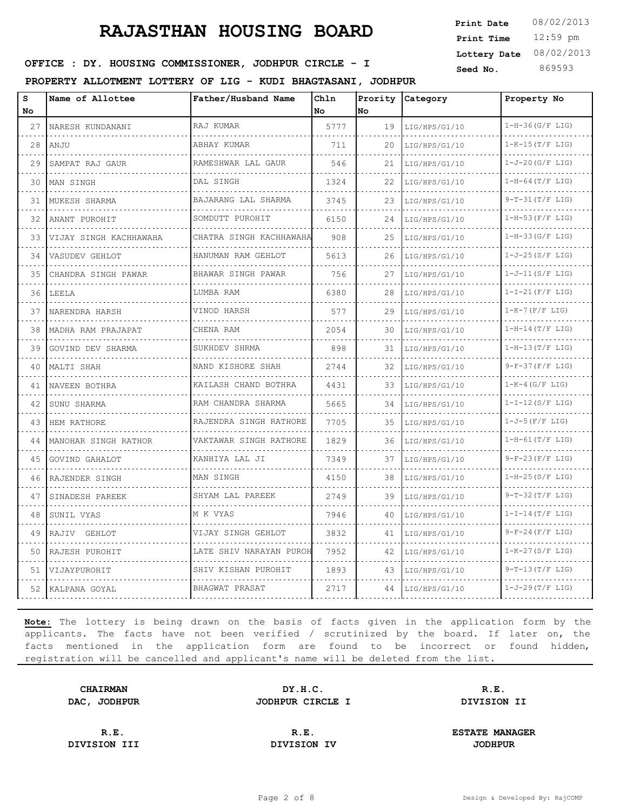12:59 pm **Print Time Print Date**  $08/02/2013$ **Lottery Date** 08/02/2013

### **SEED IDER : DY. HOUSING COMMISSIONER, JODHPUR CIRCLE - I** Seed No. 369593

**PROPERTY ALLOTMENT LOTTERY OF LIG - KUDI BHAGTASANI, JODHPUR**

| S<br>No | Name of Allottee       | Father/Husband Name          | Chln<br>l No | No | Prority Category | Property No            |
|---------|------------------------|------------------------------|--------------|----|------------------|------------------------|
| 27      | NARESH KUNDANANI       | RAJ KUMAR                    | 5777         | 19 | LIG/HPS/G1/10    | $1-H-36(G/F LIG)$      |
| 28      | ANJU                   | ABHAY KUMAR                  | 711          | 20 | LIG/HPS/G1/10    | $1-K-15(T/F LIG)$      |
| 29      | SAMPAT RAJ GAUR        | RAMESHWAR LAL GAUR           | 546          | 21 | LIG/HPS/G1/10    | $1-J-20(G/F LIG)$      |
| 30      | MAN SINGH              | DAL SINGH                    | 1324         | 22 | LIG/HPS/G1/10    | $1-H-64(T/F LIG)$      |
| 31      | MUKESH SHARMA          | BAJARANG LAL SHARMA          | 3745         | 23 | LIG/HPS/G1/10    | $9-T-31(T/F LIG)$      |
| 32      | ANANT PUROHIT          | SOMDUTT PUROHIT              | 6150         | 24 | LIG/HPS/G1/10    | $1-H-53(F/F LIG)$      |
| 33      | VIJAY SINGH KACHHAWAHA | .<br>CHATRA SINGH KACHHAWAHA | 908          | 25 | LIG/HPS/G1/10    | $1-H-33(G/F LIG)$      |
| 34      | VASUDEV GEHLOT         | HANUMAN RAM GEHLOT           | 5613         | 26 | LIG/HPS/G1/10    | $1-J-25(S/F LIG)$      |
| 35      | CHANDRA SINGH PAWAR    | BHAWAR SINGH PAWAR           | 756          | 27 | LIG/HPS/G1/10    | $1-J-11(S/F LIG)$      |
| 36      | LEELA                  | LUMBA RAM                    | 6380         | 28 | LIG/HPS/G1/10    | $1-I-21$ (F/F LIG)     |
| 37      | NARENDRA HARSH         | VINOD HARSH                  | 577          | 29 | LIG/HPS/G1/10    | $1-K-7$ (F/F LIG)      |
| 38      | MADHA RAM PRAJAPAT     | CHENA RAM                    | 2054         | 30 | LIG/HPS/G1/10    | $1-H-14(T/F LIG)$      |
| 39      | GOVIND DEV SHARMA      | SUKHDEV SHRMA                | 898          | 31 | LIG/HPS/G1/10    | $1-H-13(T/F LIG)$      |
| 40      | MALTI SHAH             | NAND KISHORE SHAH            | 2744         | 32 | LIG/HPS/G1/10    | $9-F-37(F/F LIG)$      |
| 41      | NAVEEN BOTHRA          | KAILASH CHAND BOTHRA<br>.    | 4431         | 33 | LIG/HPS/G1/10    | $1-K-4$ (G/F LIG)      |
| 42      | SUNU SHARMA            | RAM CHANDRA SHARMA           | 5665         | 34 | LIG/HPS/G1/10    | $1-I-12(S/F LIG)$      |
| 43      | HEM RATHORE            | RAJENDRA SINGH RATHORE       | 7705         | 35 | LIG/HPS/G1/10    | $1 - J - 5(F/F LIG)$   |
| 44      | MANOHAR SINGH RATHOR   | VAKTAWAR SINGH RATHORE       | 1829         | 36 | LIG/HPS/G1/10    | $1-H-61(T/F LIG)$      |
| 45      | GOVIND GAHALOT         | KANHIYA LAL JI               | 7349         | 37 | LIG/HPS/G1/10    | $9-F-23(F/F LIG)$      |
| 46      | RAJENDER SINGH         | MAN SINGH                    | 4150         | 38 | LIG/HPS/G1/10    | $1-H-25(S/F LIG)$      |
| 47      | SINADESH PAREEK        | SHYAM LAL PAREEK             | 2749         | 39 | LIG/HPS/G1/10    | $9-T-32(T/F LIG)$      |
| 48      | SUNIL VYAS             | M K VYAS                     | 7946         | 40 | LIG/HPS/G1/10    | $1-I-14(T/F LIG)$      |
| 49      | RAJIV GEHLOT           | VIJAY SINGH GEHLOT           | 3832         | 41 | LIG/HPS/G1/10    | $9-F-24(F/F LIG)$      |
| 50      | RAJESH PUROHIT         | LATE SHIV NARAYAN PUROH      | 7952         | 42 | LIG/HPS/G1/10    | $1 - K - 27 (S/F LIG)$ |
| 51      | VIJAYPUROHIT           | SHIV KISHAN PUROHIT          | 1893         | 43 | LIG/HPS/G1/10    | $9-T-13(T/F LIG)$      |
| 52      | KALPANA GOYAL          | BHAGWAT PRASAT               | 2717         | 44 | LIG/HPS/G1/10    | $1-J-29(T/F LIG)$      |

**Note:** The lottery is being drawn on the basis of facts given in the application form by the applicants. The facts have not been verified / scrutinized by the board. If later on, the facts mentioned in the application form are found to be incorrect or found hidden, registration will be cancelled and applicant's name will be deleted from the list.

**CHAIRMAN DY.H.C. R.E. DAC, JODHPUR JODHPUR CIRCLE I DIVISION II**

**DIVISION III DIVISION IV JODHPUR**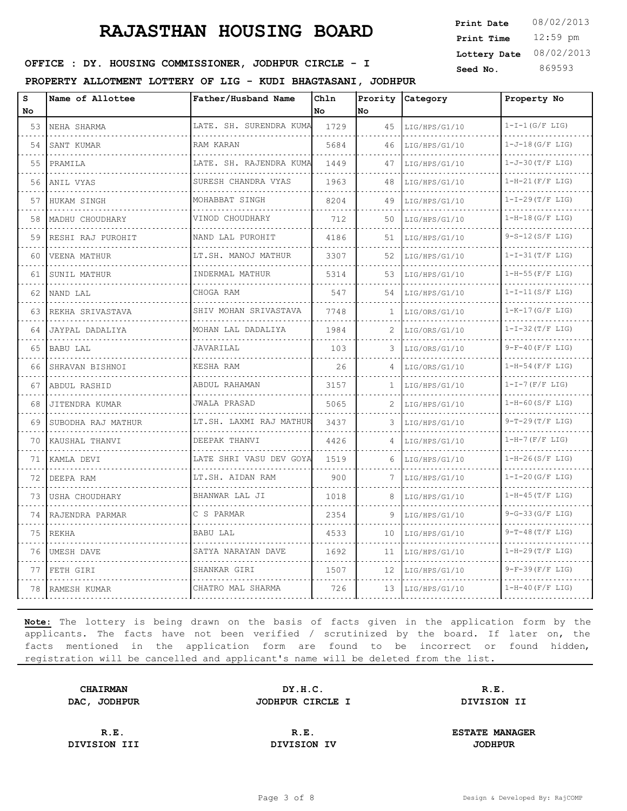12:59 pm **Print Time Print Date**  $08/02/2013$ **Lottery Date** 08/02/2013

### **SEED IDER : DY. HOUSING COMMISSIONER, JODHPUR CIRCLE - I** Seed No. 369593

**PROPERTY ALLOTMENT LOTTERY OF LIG - KUDI BHAGTASANI, JODHPUR**

| s<br>No | Name of Allottee   | Father/Husband Name     | Ch1n<br><b>No</b> | Prority<br>No | Category           | Property No            |
|---------|--------------------|-------------------------|-------------------|---------------|--------------------|------------------------|
| 53      | NEHA SHARMA        | LATE. SH. SURENDRA KUMA | 1729              | 45            | LIG/HPS/G1/10      | $1-I-1(G/F LIG)$       |
| 54      | .<br>SANT KUMAR    | RAM KARAN               | 5684              | 46            | LIG/HPS/G1/10      | $1-J-18(G/F$ LIG)      |
| 55      | PRAMILA            | LATE. SH. RAJENDRA KUMA | 1449              | 47            | LIG/HPS/G1/10      | $1 - J - 30 (T/F LIG)$ |
| 56      | ANIL VYAS<br>.     | SURESH CHANDRA VYAS     | 1963              | 48            | LIG/HPS/G1/10<br>. | $1-H-21(F/F LIG)$<br>. |
| 57      | HUKAM SINGH        | MOHABBAT SINGH          | 8204              | 49            | LIG/HPS/G1/10      | $1-I-29(T/F LIG)$      |
| 58      | MADHU CHOUDHARY    | VINOD CHOUDHARY         | 712               | 50            | LIG/HPS/G1/10      | $1-H-18(G/F LIG)$      |
| 59      | RESHI RAJ PUROHIT  | NAND LAL PUROHIT<br>.   | 4186              | 51            | LIG/HPS/G1/10<br>. | $9-S-12(S/F LIG)$<br>. |
| 60      | VEENA MATHUR       | LT.SH. MANOJ MATHUR     | 3307              | 52            | LIG/HPS/G1/10      | $1-I-31(T/F LIG)$      |
| 61      | SUNIL MATHUR       | INDERMAL MATHUR         | 5314              | 53            | LIG/HPS/G1/10      | $1-H-55$ (F/F LIG)     |
| 62      | NAND LAL<br>.      | CHOGA RAM               | 547               | 54            | LIG/HPS/G1/10<br>. | $1-I-11(S/F LIG)$      |
| 63      | REKHA SRIVASTAVA   | SHIV MOHAN SRIVASTAVA   | 7748              | 1             | LIG/ORS/G1/10      | $1-K-17(G/F LIG)$      |
| 64      | JAYPAL DADALIYA    | MOHAN LAL DADALIYA      | 1984              | 2             | LIG/ORS/G1/10      | $1-I-32(T/F LIG)$      |
| 65      | BABU LAL           | JAVARILAL               | 103               | 3             | LIG/ORS/G1/10      | $9-F-40(F/F LIG)$      |
| 66      | SHRAVAN BISHNOI    | KESHA RAM               | 26                | 4             | LIG/ORS/G1/10      | $1-H-54$ (F/F LIG)     |
| 67      | ABDUL RASHID       | ABDUL RAHAMAN<br>.      | 3157              | 1             | LIG/HPS/G1/10      | $1-I-7$ (F/F LIG)      |
| 68      | JITENDRA KUMAR     | JWALA PRASAD            | 5065              |               | LIG/HPS/G1/10      | $1-H-60(S/F LIG)$      |
| 69      | SUBODHA RAJ MATHUR | LT.SH. LAXMI RAJ MATHUR | 3437              | 3             | LIG/HPS/G1/10      | $9-T-29(T/F LIG)$      |
| 70      | KAUSHAL THANVI     | DEEPAK THANVI<br>.      | 4426              | 4             | LIG/HPS/G1/10      | $1-H-7(F/F LIG)$       |
| 71      | KAMLA DEVI         | LATE SHRI VASU DEV GOYA | 1519              | 6             | LIG/HPS/G1/10      | $1-H-26(S/F LIG)$      |
| 72      | DEEPA RAM          | LT.SH. AIDAN RAM        | 900               | 7             | LIG/HPS/G1/10      | $1-I-20(G/F LIG)$      |
| 73      | USHA CHOUDHARY     | BHANWAR LAL JI          | 1018              | 8             | LIG/HPS/G1/10      | $1-H-45(T/F LIG)$      |
| 74      | RAJENDRA PARMAR    | C S PARMAR              | 2354              | 9             | LIG/HPS/G1/10      | $9-G-33(G/F LIG)$      |
| 75      | REKHA              | BABU LAL                | 4533              | 10            | LIG/HPS/G1/10      | $9-T-48(T/F LIG)$      |
| 76      | UMESH DAVE         | SATYA NARAYAN DAVE      | 1692              | 11            | LIG/HPS/G1/10      | $1-H-29(T/F LIG)$      |
| 77      | FETH GIRI          | SHANKAR GIRI            | 1507              | 12            | LIG/HPS/G1/10      | $9-F-39(F/F LIG)$      |
| 78      | RAMESH KUMAR       | CHATRO MAL SHARMA       | 726               | 13            | LIG/HPS/G1/10      | $1-H-40$ (F/F LIG)     |

**Note:** The lottery is being drawn on the basis of facts given in the application form by the applicants. The facts have not been verified / scrutinized by the board. If later on, the facts mentioned in the application form are found to be incorrect or found hidden, registration will be cancelled and applicant's name will be deleted from the list.

**CHAIRMAN DY.H.C. R.E. DAC, JODHPUR JODHPUR CIRCLE I DIVISION II**

**DIVISION III DIVISION IV JODHPUR**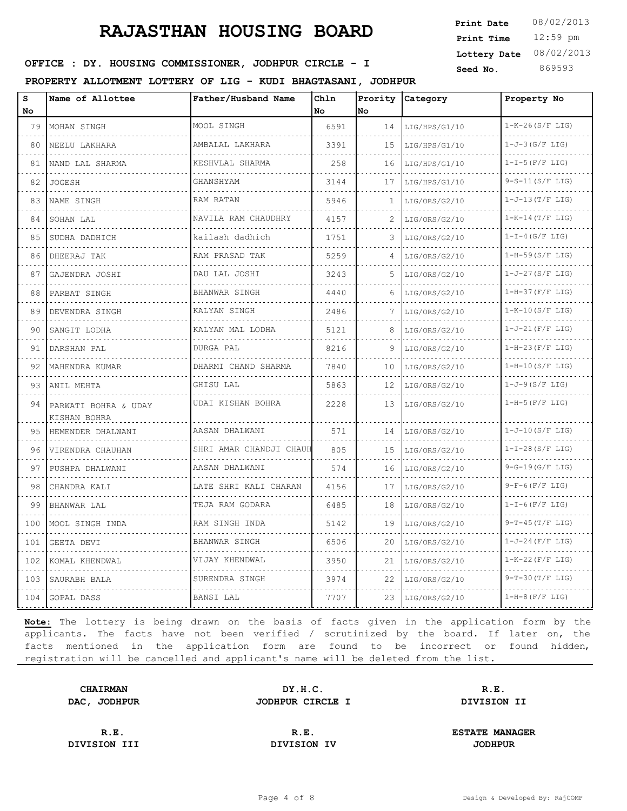12:59 pm **Print Time Print Date**  $08/02/2013$ **Lottery Date** 08/02/2013

### **SEED IDER : DY. HOUSING COMMISSIONER, JODHPUR CIRCLE - I** Seed No. 369593

**PROPERTY ALLOTMENT LOTTERY OF LIG - KUDI BHAGTASANI, JODHPUR**

| s<br><b>No</b> | Name of Allottee                     | Father/Husband Name         | Chln<br>No | No.          | Prority Category | Property No            |
|----------------|--------------------------------------|-----------------------------|------------|--------------|------------------|------------------------|
| 79             | MOHAN SINGH                          | MOOL SINGH                  | 6591       | 14           | LIG/HPS/G1/10    | $1-K-26(S/F LIG)$<br>. |
| 80             | NEELU LAKHARA                        | AMBALAL LAKHARA<br><u>.</u> | 3391       | 15           | LIG/HPS/G1/10    | $1-J-3(G/F LIG)$       |
| 81             | NAND LAL SHARMA                      | KESHVLAL SHARMA             | 258        | 16           | LIG/HPS/G1/10    | $1-I-5(F/F LIG)$       |
| 82             | JOGESH<br>.                          | GHANSHYAM                   | 3144       | 17           | LIG/HPS/G1/10    | $9-S-11(S/F LIG)$      |
| 83             | NAME SINGH                           | RAM RATAN                   | 5946       | $\mathbf{1}$ | LIG/ORS/G2/10    | $1 - J - 13(T/F LIG)$  |
| 84             | SOHAN LAL                            | NAVILA RAM CHAUDHRY         | 4157       |              | LIG/ORS/G2/10    | $1-K-14(T/F LIG)$      |
| 85             | SUDHA DADHICH                        | kailash dadhich             | 1751       | 3.           | LIG/ORS/G2/10    | $1-I-4(G/F LIG)$       |
| 86             | DHEERAJ TAK                          | RAM PRASAD TAK<br>.         | 5259       | 4            | LIG/ORS/G2/10    | $1-H-59(S/F LIG)$      |
| 87             | GAJENDRA JOSHI                       | DAU LAL JOSHI               | 3243       | 5.           | LIG/ORS/G2/10    | $1-J-27(S/F LIG)$      |
| 88             | PARBAT SINGH                         | BHANWAR SINGH               | 4440       | 6            | LIG/ORS/G2/10    | $1-H-37(F/F LIG)$      |
| 89             | DEVENDRA SINGH                       | KALYAN SINGH                | 2486       | 7            | LIG/ORS/G2/10    | $1-K-10(S/F LIG)$      |
| 90             | SANGIT LODHA                         | KALYAN MAL LODHA            | 5121       | 8            | LIG/ORS/G2/10    | $1-J-21$ (F/F LIG)     |
| 91             | DARSHAN PAL                          | DURGA PAL                   | 8216       |              | LIG/ORS/G2/10    | $1-H-23(F/F LIG)$      |
| 92             | MAHENDRA KUMAR                       | .<br>DHARMI CHAND SHARMA    | 7840       | 10           | LIG/ORS/G2/10    | $1-H-10(S/F LIG)$      |
| 93             | ANIL MEHTA                           | GHISU LAL                   | 5863       | 12           | LIG/ORS/G2/10    | $1-J-9(S/F LIG)$       |
| 94             | PARWATI BOHRA & UDAY<br>KISHAN BOHRA | UDAI KISHAN BOHRA<br>.      | 2228       | 13           | LIG/ORS/G2/10    | $1-H-5(F/F LIG)$       |
| 95             | HEMENDER DHALWANI<br><u>.</u>        | AASAN DHALWANI<br>.         | 571        | 14           | LIG/ORS/G2/10    | $1-J-10 (S/F LIG)$     |
| 96             | VIRENDRA CHAUHAN                     | SHRI AMAR CHANDJI CHAUH     | 805        | 15           | LIG/ORS/G2/10    | $1-I-28(S/F LIG)$      |
| 97             | PUSHPA DHALWANI                      | AASAN DHALWANI              | 574        | 16           | LIG/ORS/G2/10    | $9-G-19(G/F LIG)$      |
| 98             | CHANDRA KALI                         | LATE SHRI KALI CHARAN       | 4156       | 17           | LIG/ORS/G2/10    | $9-F-6(F/F LIG)$       |
| 99             | BHANWAR LAL                          | TEJA RAM GODARA             | 6485       | 18           | LIG/ORS/G2/10    | $1-I-6(F/F LIG)$       |
| 100            | MOOL SINGH INDA                      | RAM SINGH INDA              | 5142       | 19           | LIG/ORS/G2/10    | $9-T-45(T/F LIG)$      |
| 101            | GEETA DEVI                           | BHANWAR SINGH               | 6506       | 20           | LIG/ORS/G2/10    | $1-J-24$ (F/F LIG)     |
| 102            | KOMAL KHENDWAL                       | VIJAY KHENDWAL              | 3950       | 21           | LIG/ORS/G2/10    | $1-K-22(F/F LIG)$      |
| 103            | SAURABH BALA                         | .<br>SURENDRA SINGH         | 3974       | 22           | LIG/ORS/G2/10    | $9-T-30(T/F LIG)$      |
| 104            | GOPAL DASS                           | BANSI LAL                   | 7707       | 23           | LIG/ORS/G2/10    | $1-H-8$ (F/F LIG)      |

**Note:** The lottery is being drawn on the basis of facts given in the application form by the applicants. The facts have not been verified / scrutinized by the board. If later on, the facts mentioned in the application form are found to be incorrect or found hidden, registration will be cancelled and applicant's name will be deleted from the list.

**CHAIRMAN DY.H.C. R.E. DAC, JODHPUR JODHPUR CIRCLE I DIVISION II**

**DIVISION III DIVISION IV JODHPUR**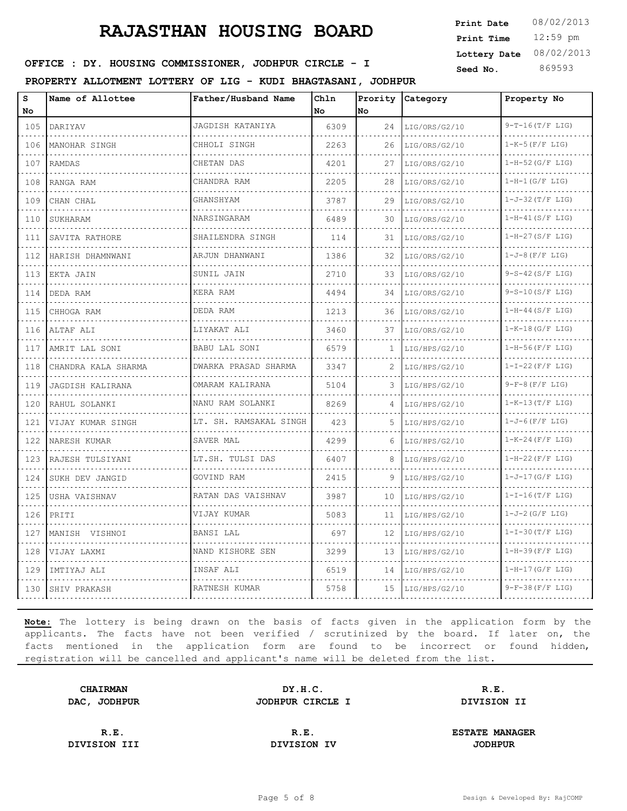12:59 pm **Print Time Print Date**  $08/02/2013$ **Lottery Date** 08/02/2013

### **SEED IDER : DY. HOUSING COMMISSIONER, JODHPUR CIRCLE - I** Seed No. 369593

**PROPERTY ALLOTMENT LOTTERY OF LIG - KUDI BHAGTASANI, JODHPUR**

| s<br>No      | Name of Allottee    | Father/Husband Name    | Chln<br><b>No</b> | Prority<br>lno | Category           | Property No               |
|--------------|---------------------|------------------------|-------------------|----------------|--------------------|---------------------------|
| 105          | DARIYAV             | JAGDISH KATANIYA       | 6309              | 24             | LIG/ORS/G2/10      | $9-T-16(T/F LIG)$         |
| 106          | .<br>MANOHAR SINGH  | .<br>CHHOLI SINGH      | 2263              | 26             | LIG/ORS/G2/10      | .<br>$1-K-5$ ( $F/F$ LIG) |
| 107          | RAMDAS              | CHETAN DAS             | 4201              | 27             | LIG/ORS/G2/10      | $1-H-52(G/F LIG)$         |
| 108          | RANGA RAM           | CHANDRA RAM            | 2205              | 28             | LIG/ORS/G2/10      | $1-H-1(G/F LIG)$          |
| 109          | CHAN CHAL           | GHANSHYAM              | 3787              | 29             | LIG/ORS/G2/10      | $1-J-32(T/F LIG)$         |
| 110          | <b>SUKHARAM</b>     | NARSINGARAM            | 6489              | 30             | LIG/ORS/G2/10      | $1-H-41(S/F LIG)$         |
| 111<br>$  -$ | SAVITA RATHORE      | SHAILENDRA SINGH       | 114               | 31             | LIG/ORS/G2/10<br>. | $1-H-27(S/F LIG)$         |
| 112          | HARISH DHAMNWANI    | ARJUN DHANWANI         | 1386              | 32             | LIG/ORS/G2/10      | $1-J-8$ (F/F LIG)         |
| 113          | EKTA JAIN<br>.      | SUNIL JAIN             | 2710              | 33             | LIG/ORS/G2/10      | $9-S-42(S/F LIG)$         |
| 114          | DEDA RAM            | KERA RAM               | 4494              | 34             | LIG/ORS/G2/10      | $9-S-10(S/F LIG)$         |
| 115          | CHHOGA RAM          | DEDA RAM               | 1213              | 36             | LIG/ORS/G2/10      | $1-H-44(S/F LIG)$         |
| 116          | ALTAF ALI<br>.      | LIYAKAT ALI            | 3460              | 37             | LIG/ORS/G2/10      | $1-K-18(G/F LIG)$         |
| 117          | AMRIT LAL SONI      | <b>BABU LAL SONI</b>   | 6579              | 1              | LIG/HPS/G2/10      | $1-H-56$ (F/F LIG)        |
| 118          | CHANDRA KALA SHARMA | DWARKA PRASAD SHARMA   | 3347              | 2              | LIG/HPS/G2/10      | $1-I-22(F/F LIG)$         |
| 119          | JAGDISH KALIRANA    | OMARAM KALIRANA<br>.   | 5104              | 3              | LIG/HPS/G2/10      | $9-F-8(F/F LIG)$          |
| 120          | RAHUL SOLANKI       | NANU RAM SOLANKI       | 8269              | 4              | LIG/HPS/G2/10      | $1-K-13(T/F LIG)$         |
| 121          | VIJAY KUMAR SINGH   | LT. SH. RAMSAKAL SINGH | 423               | 5              | LIG/HPS/G2/10      | $1-J-6(F/F LIG)$          |
| 122          | NARESH KUMAR        | SAVER MAL              | 4299              | 6              | LIG/HPS/G2/10      | $1-K-24$ (F/F LIG)        |
| 123          | RAJESH TULSIYANI    | LT.SH. TULSI DAS       | 6407              | 8              | LIG/HPS/G2/10      | $1-H-22(F/F LIG)$         |
| 124          | SUKH DEV JANGID     | GOVIND RAM             | 2415              | 9              | LIG/HPS/G2/10      | $1-J-17(G/F LIG)$         |
| 125          | USHA VAISHNAV       | RATAN DAS VAISHNAV     | 3987              | 10             | LIG/HPS/G2/10      | $1-I-16(T/F LIG)$         |
| 126          | PRITI               | VIJAY KUMAR            | 5083              | 11             | LIG/HPS/G2/10      | $1-J-2(G/F LIG)$          |
| 127          | MANISH VISHNOI      | BANSI LAL              | 697               | 12             | LIG/HPS/G2/10      | $1-I-30(T/F LIG)$         |
| 128          | VIJAY LAXMI         | NAND KISHORE SEN       | 3299              | 13             | LIG/HPS/G2/10      | $1-H-39(F/F LIG)$         |
| 129          | IMTIYAJ ALI         | INSAF ALI              | 6519              | 14             | LIG/HPS/G2/10      | $1-H-17(G/F LIG)$         |
| 130          | ISHIV PRAKASH       | RATNESH KUMAR          | 5758              | 15             | LIG/HPS/G2/10      | $9-F-38(F/F LIG)$         |

**Note:** The lottery is being drawn on the basis of facts given in the application form by the applicants. The facts have not been verified / scrutinized by the board. If later on, the facts mentioned in the application form are found to be incorrect or found hidden, registration will be cancelled and applicant's name will be deleted from the list.

**CHAIRMAN DY.H.C. R.E. DAC, JODHPUR JODHPUR CIRCLE I DIVISION II**

**DIVISION III DIVISION IV JODHPUR**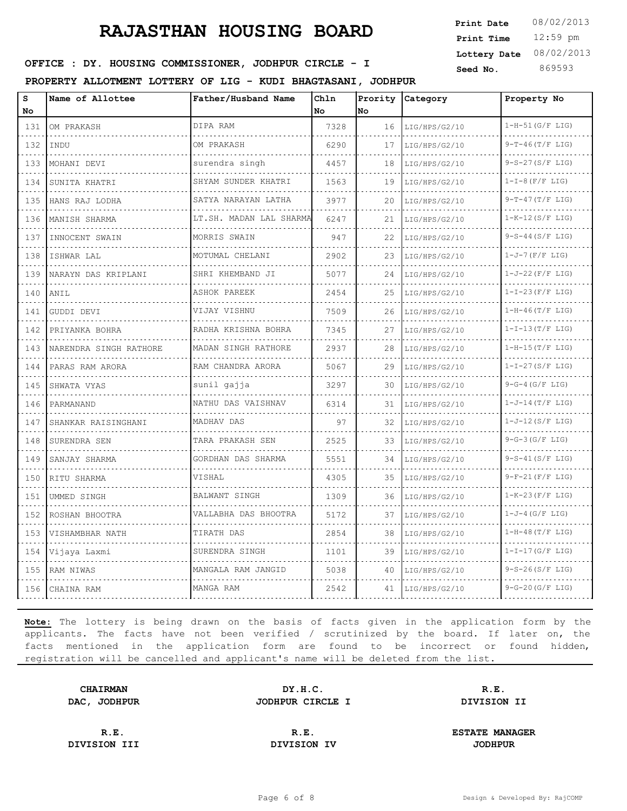12:59 pm **Print Time Print Date**  $08/02/2013$ **Lottery Date** 08/02/2013

### **SEED IDER : DY. HOUSING COMMISSIONER, JODHPUR CIRCLE - I** Seed No. 369593

**PROPERTY ALLOTMENT LOTTERY OF LIG - KUDI BHAGTASANI, JODHPUR**

| S<br>No.                              | Name of Allottee       | Father/Husband Name          | Chln<br><b>No</b> | <b>No</b> | Prority Category | Property No            |
|---------------------------------------|------------------------|------------------------------|-------------------|-----------|------------------|------------------------|
| 131                                   | OM PRAKASH             | DIPA RAM                     | 7328              | 16        | LIG/HPS/G2/10    | $1-H-51(G/F LIG)$      |
| .<br>132                              | INDU                   | OM PRAKASH                   | 6290              | 17        | LIG/HPS/G2/10    | .<br>$9-T-46(T/F LIG)$ |
| 133                                   | MOHANI DEVI            | surendra singh               | 4457              | 18        | LIG/HPS/G2/10    | $9-S-27(S/F LIG)$      |
| 134                                   | SUNITA KHATRI          | SHYAM SUNDER KHATRI          | 1563              | 19        | LIG/HPS/G2/10    | $1-I-8$ (F/F LIG)      |
| .<br>135                              | HANS RAJ LODHA         | SATYA NARAYAN LATHA          | 3977              | 20        | LIG/HPS/G2/10    | $9-T-47(T/F LIG)$      |
| 136                                   | MANISH SHARMA          | LT.SH. MADAN LAL SHARMA<br>. | 6247              | 21        | LIG/HPS/G2/10    | $1-K-12(S/F LIG)$      |
| 137                                   | INNOCENT SWAIN         | MORRIS SWAIN                 | 947               | 22        | LIG/HPS/G2/10    | $9-S-44(S/F LIG)$      |
| .<br>138                              | ISHWAR LAL             | .<br>MOTUMAL CHELANI         | 2902              | 23        | LIG/HPS/G2/10    | $1-J-7$ (F/F LIG)      |
| 139                                   | NARAYN DAS KRIPLANI    | SHRI KHEMBAND JI             | 5077              | 24        | LIG/HPS/G2/10    | $1-J-22(F/F LIG)$      |
| 140                                   | ANIL                   | ASHOK PAREEK                 | 2454              | 25        | LIG/HPS/G2/10    | $1-I-23(F/F LIG)$      |
| .<br>141                              | GUDDI DEVI             | VIJAY VISHNU                 | 7509              | 26        | LIG/HPS/G2/10    | $1-H-46(T/F LIG)$      |
| 142                                   | PRIYANKA BOHRA         | RADHA KRISHNA BOHRA          | 7345              | 27        | LIG/HPS/G2/10    | $1-I-13(T/F LIG)$      |
| $\sim$ $\sim$ $\sim$ $\sim$<br>143    | NARENDRA SINGH RATHORE | MADAN SINGH RATHORE          | 2937              | 28        | LIG/HPS/G2/10    | $1-H-15(T/F LIG)$      |
| 144                                   | PARAS RAM ARORA        | RAM CHANDRA ARORA            | 5067              | 29        | LIG/HPS/G2/10    | $1-I-27(S/F LIG)$      |
| $\sim$ $\sim$ $\sim$ $\sim$<br>145    | SHWATA VYAS            | sunil qajja                  | 3297              | 30        | LIG/HPS/G2/10    | $9-G-4(G/F LIG)$       |
| 146                                   | PARMANAND              | NATHU DAS VAISHNAV           | 6314              | 31        | LIG/HPS/G2/10    | $1-J-14(T/F LIG)$      |
| 147                                   | SHANKAR RAISINGHANI    | MADHAV DAS                   | 97                | 32        | LIG/HPS/G2/10    | $1-J-12(S/F LIG)$      |
| $\sim$ $\sim$ $\sim$ $\sim$<br>148    | SURENDRA SEN           | TARA PRAKASH SEN             | 2525              | 33        | LIG/HPS/G2/10    | $9-G-3(G/F LIG)$       |
| .<br>149                              | SANJAY SHARMA          | GORDHAN DAS SHARMA           | 5551              | 34        | LIG/HPS/G2/10    | $9-S-41(S/F LIG)$      |
| 150                                   | RITU SHARMA            | VISHAL                       | 4305              | 35        | LIG/HPS/G2/10    | $9-F-21(F/F LIG)$      |
| $  -$<br>151                          | UMMED SINGH            | BALWANT SINGH                | 1309              | 36        | LIG/HPS/G2/10    | $1-K-23(F/F LIG)$      |
| $\omega$ , $\omega$ , $\omega$<br>152 | ROSHAN BHOOTRA         | VALLABHA DAS BHOOTRA         | 5172              | 37        | LIG/HPS/G2/10    | $1-J-4$ (G/F LIG)      |
| 153                                   | VISHAMBHAR NATH        | TIRATH DAS                   | 2854              | 38        | LIG/HPS/G2/10    | $1-H-48(T/F LIG)$      |
| $\cdots$<br>154                       | Vijaya Laxmi           | SURENDRA SINGH               | 1101              | 39        | LIG/HPS/G2/10    | $1-I-17(G/F$ LIG)      |
| 155                                   | RAM NIWAS              | MANGALA RAM JANGID           | 5038              | 40        | LIG/HPS/G2/10    | $9-S-26(S/F LIG)$      |
| 156                                   | CHAINA RAM             | MANGA RAM                    | 2542              | 41        | LIG/HPS/G2/10    | $9-G-20(G/F LIG)$      |

**Note:** The lottery is being drawn on the basis of facts given in the application form by the applicants. The facts have not been verified / scrutinized by the board. If later on, the facts mentioned in the application form are found to be incorrect or found hidden, registration will be cancelled and applicant's name will be deleted from the list.

**CHAIRMAN DY.H.C. R.E. DAC, JODHPUR JODHPUR CIRCLE I DIVISION II**

**DIVISION III DIVISION IV JODHPUR**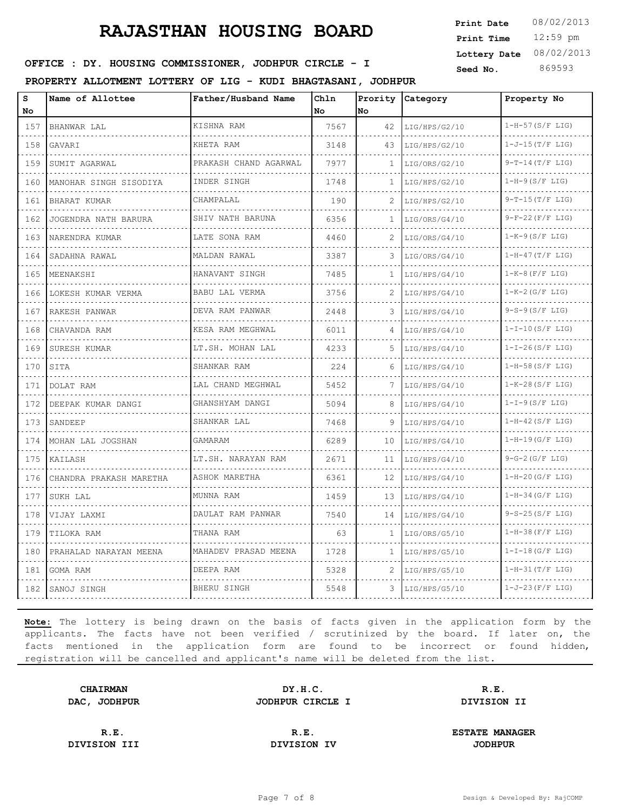12:59 pm **Print Time Print Date**  $08/02/2013$ **Lottery Date** 08/02/2013

### **SEED IDER : DY. HOUSING COMMISSIONER, JODHPUR CIRCLE - I** Seed No. 369593

**PROPERTY ALLOTMENT LOTTERY OF LIG - KUDI BHAGTASANI, JODHPUR**

| s<br><b>No</b>                                                                                                                   | Name of Allottee        | Father/Husband Name   | Chln<br>No | No           | Prority Category | Property No            |
|----------------------------------------------------------------------------------------------------------------------------------|-------------------------|-----------------------|------------|--------------|------------------|------------------------|
| 157                                                                                                                              | BHANWAR LAL             | KISHNA RAM            | 7567       | 42           | LIG/HPS/G2/10    | $1-H-57(S/F LIG)$      |
| $\frac{1}{2} \left( \frac{1}{2} \right) \left( \frac{1}{2} \right) \left( \frac{1}{2} \right) \left( \frac{1}{2} \right)$<br>158 | GAVARI                  | KHETA RAM             | 3148       | 43           | LIG/HPS/G2/10    | .<br>$1-J-15(T/F LIG)$ |
| 159                                                                                                                              | SUMIT AGARWAL           | PRAKASH CHAND AGARWAL | 7977       | 1            | LIG/ORS/G2/10    | $9-T-14(T/F LIG)$      |
| 160                                                                                                                              | MANOHAR SINGH SISODIYA  | INDER SINGH           | 1748       | $\mathbf{1}$ | LIG/HPS/G2/10    | $1-H-9(S/F LIG)$       |
| 161                                                                                                                              | BHARAT KUMAR            | CHAMPALAL             | 190        |              | LIG/HPS/G2/10    | $9-T-15(T/F LIG)$      |
| 162                                                                                                                              | JOGENDRA NATH BARURA    | SHIV NATH BARUNA      | 6356       | 1            | LIG/ORS/G4/10    | $9-F-22(F/F LIG)$      |
| 163                                                                                                                              | NARENDRA KUMAR          | LATE SONA RAM         | 4460       | 2            | LIG/ORS/G4/10    | $1-K-9(S/F LIG)$       |
| 164                                                                                                                              | SADAHNA RAWAL           | MALDAN RAWAL          | 3387       | 3.           | LIG/ORS/G4/10    | $1-H-47(T/F LIG)$      |
| 165                                                                                                                              | MEENAKSHI               | HANAVANT SINGH        | 7485       | 1            | LIG/HPS/G4/10    | $1-K-8$ (F/F LIG)      |
| 166                                                                                                                              | LOKESH KUMAR VERMA      | <b>BABU LAL VERMA</b> | 3756       | 2            | LIG/HPS/G4/10    | $1-K-2(G/F LIG)$       |
| 167                                                                                                                              | RAKESH PANWAR           | DEVA RAM PANWAR       | 2448       | 3            | LIG/HPS/G4/10    | $9-S-9(S/F LIG)$       |
| .<br>168                                                                                                                         | CHAVANDA RAM            | KESA RAM MEGHWAL<br>. | 6011       | 4            | LIG/HPS/G4/10    | $1-I-10(S/F LIG)$      |
| 169                                                                                                                              | SURESH KUMAR            | LT.SH. MOHAN LAL      | 4233       | .5.          | LIG/HPS/G4/10    | $1-I-26(S/F LIG)$      |
| 170                                                                                                                              | SITA                    | SHANKAR RAM           | 224        | 6            | LIG/HPS/G4/10    | $1-H-58(S/F LIG)$      |
| 171                                                                                                                              | DOLAT RAM               | LAL CHAND MEGHWAL     | 5452       | 7            | LIG/HPS/G4/10    | $1-K-28(S/F LIG)$      |
| 172                                                                                                                              | DEEPAK KUMAR DANGI      | GHANSHYAM DANGI       | 5094       | 8            | LIG/HPS/G4/10    | $1-I-9(S/F LIG)$       |
| 173                                                                                                                              | SANDEEP                 | SHANKAR LAL           | 7468       | 9            | LIG/HPS/G4/10    | $1-H-42(S/F LIG)$      |
| 174                                                                                                                              | MOHAN LAL JOGSHAN       | GAMARAM               | 6289       | 10           | LIG/HPS/G4/10    | $1-H-19(G/F LIG)$      |
| 175                                                                                                                              | KAILASH                 | LT.SH. NARAYAN RAM    | 2671       | 11           | LIG/HPS/G4/10    | $9-G-2(G/F LIG)$       |
| 176                                                                                                                              | CHANDRA PRAKASH MARETHA | ASHOK MARETHA         | 6361       | 12           | LIG/HPS/G4/10    | $1-H-20(G/F LIG)$      |
| 177                                                                                                                              | SUKH LAL                | MUNNA RAM             | 1459       | 13           | LIG/HPS/G4/10    | $1-H-34(G/F LIG)$      |
| 178                                                                                                                              | VIJAY LAXMI             | DAULAT RAM PANWAR     | 7540       | 14           | LIG/HPS/G4/10    | $9-S-25(S/F LIG)$      |
| 179                                                                                                                              | TILOKA RAM              | THANA RAM             | 63         | $\mathbf{1}$ | LIG/ORS/G5/10    | $1-H-38(F/F LIG)$      |
| 180                                                                                                                              | PRAHALAD NARAYAN MEENA  | MAHADEV PRASAD MEENA  | 1728       | $\mathbf{1}$ | LIG/HPS/G5/10    | $1-I-18(G/F LIG)$      |
| 181                                                                                                                              | GOMA RAM                | DEEPA RAM             | 5328       | 2            | LIG/HPS/G5/10    | $1-H-31(T/F LIG)$      |
| 182                                                                                                                              | SANOJ SINGH             | BHERU SINGH           | 5548       | 3.           | LIG/HPS/G5/10    | $1-J-23(F/F LIG)$      |

**Note:** The lottery is being drawn on the basis of facts given in the application form by the applicants. The facts have not been verified / scrutinized by the board. If later on, the facts mentioned in the application form are found to be incorrect or found hidden, registration will be cancelled and applicant's name will be deleted from the list.

**CHAIRMAN DY.H.C. R.E. DAC, JODHPUR JODHPUR CIRCLE I DIVISION II**

**DIVISION III DIVISION IV JODHPUR**